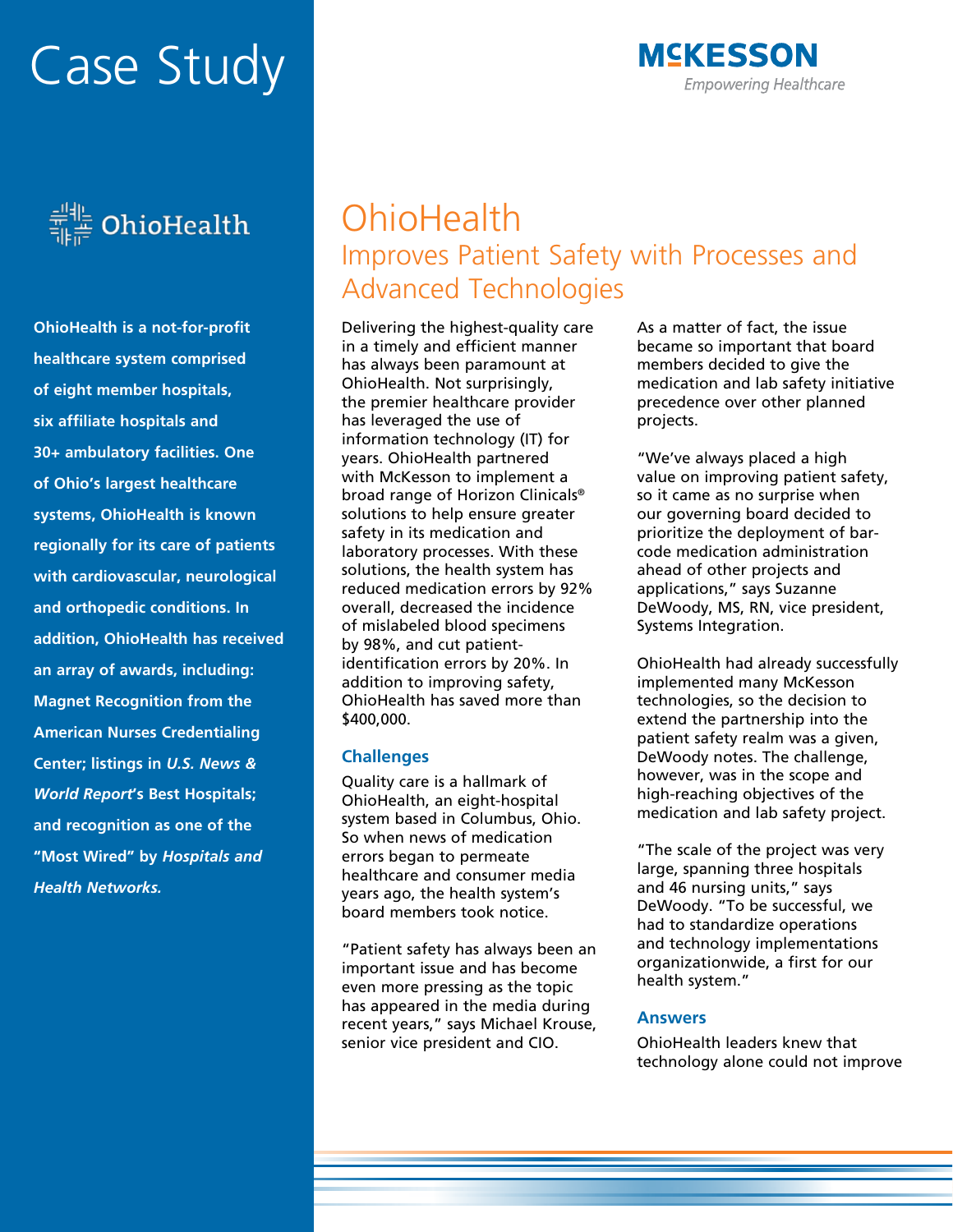



**OhioHealth is a not-for-profit healthcare system comprised of eight member hospitals, six affiliate hospitals and 30+ ambulatory facilities. One of Ohio's largest healthcare systems, OhioHealth is known regionally for its care of patients with cardiovascular, neurological and orthopedic conditions. In addition, OhioHealth has received an array of awards, including: Magnet Recognition from the American Nurses Credentialing Center; listings in** *U.S. News & World Report***'s Best Hospitals; and recognition as one of the "Most Wired" by** *Hospitals and Health Networks.*



# **OhioHealth** Improves Patient Safety with Processes and Advanced Technologies

Delivering the highest-quality care in a timely and efficient manner has always been paramount at OhioHealth. Not surprisingly, the premier healthcare provider has leveraged the use of information technology (IT) for years. OhioHealth partnered with McKesson to implement a broad range of Horizon Clinicals® solutions to help ensure greater safety in its medication and laboratory processes. With these solutions, the health system has reduced medication errors by 92% overall, decreased the incidence of mislabeled blood specimens by 98%, and cut patientidentification errors by 20%. In addition to improving safety, OhioHealth has saved more than \$400,000.

# **Challenges**

Quality care is a hallmark of OhioHealth, an eight-hospital system based in Columbus, Ohio. So when news of medication errors began to permeate healthcare and consumer media years ago, the health system's board members took notice.

"Patient safety has always been an important issue and has become even more pressing as the topic has appeared in the media during recent years," says Michael Krouse, senior vice president and CIO.

As a matter of fact, the issue became so important that board members decided to give the medication and lab safety initiative precedence over other planned projects.

"We've always placed a high value on improving patient safety, so it came as no surprise when our governing board decided to prioritize the deployment of barcode medication administration ahead of other projects and applications," says Suzanne DeWoody, MS, RN, vice president, Systems Integration.

OhioHealth had already successfully implemented many McKesson technologies, so the decision to extend the partnership into the patient safety realm was a given, DeWoody notes. The challenge, however, was in the scope and high-reaching objectives of the medication and lab safety project.

"The scale of the project was very large, spanning three hospitals and 46 nursing units," says DeWoody. "To be successful, we had to standardize operations and technology implementations organizationwide, a first for our health system."

# **Answers**

OhioHealth leaders knew that technology alone could not improve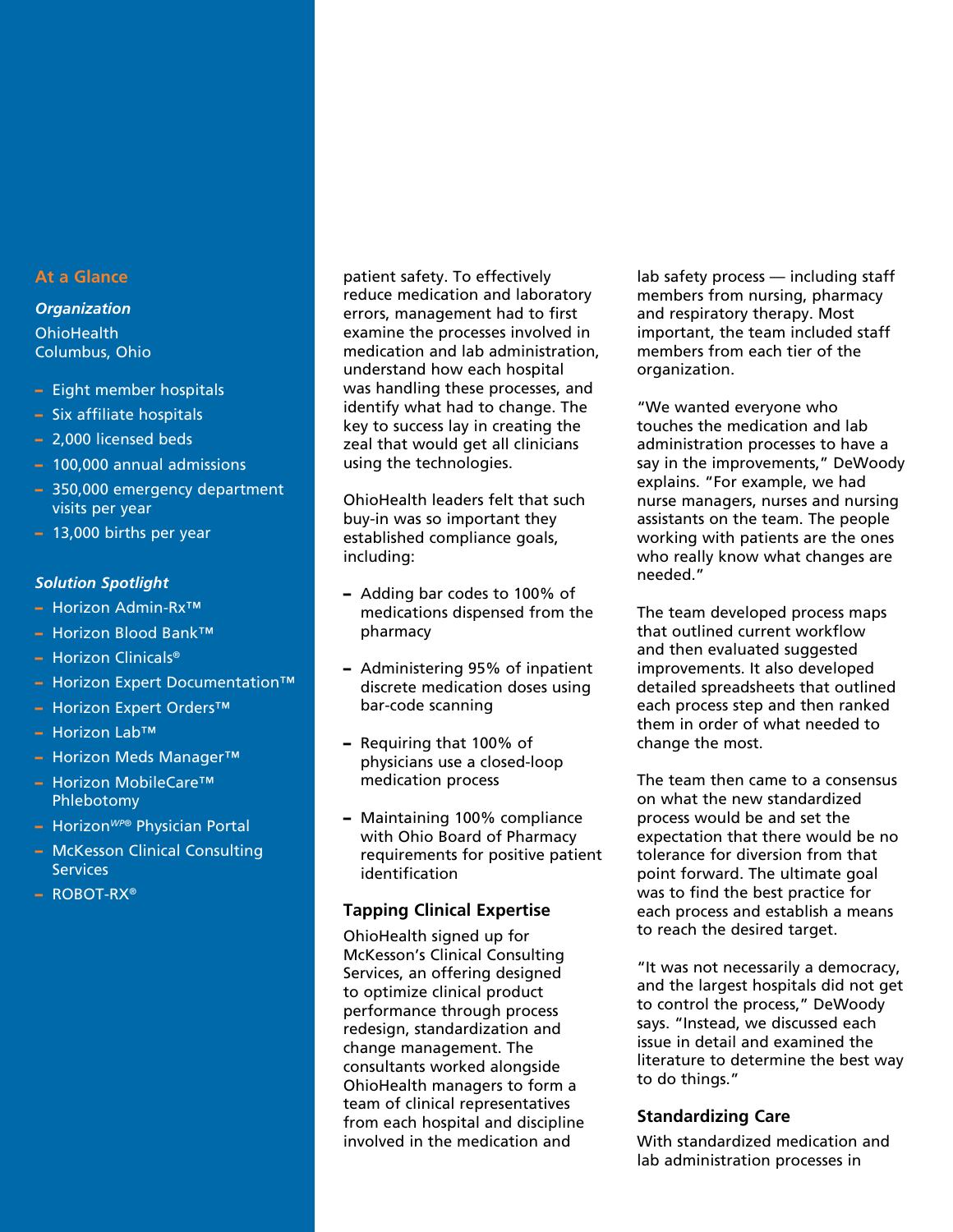## **At a Glance**

## *Organization*

**OhioHealth** Columbus, Ohio

- Eight member hospitals
- Six affiliate hospitals
- 2,000 licensed beds
- 100,000 annual admissions
- 350,000 emergency department visits per year
- 13,000 births per year

# *Solution Spotlight*

- Horizon Admin-Rx™
- Horizon Blood Bank™
- Horizon Clinicals®
- Horizon Expert Documentation™
- Horizon Expert Orders™
- Horizon Lab™
- Horizon Meds Manager™
- Horizon MobileCare™ Phlebotomy
- Horizon*WP*® Physician Portal
- McKesson Clinical Consulting **Services**
- $-$  ROBOT-RX<sup>®</sup>

patient safety. To effectively reduce medication and laboratory errors, management had to first examine the processes involved in medication and lab administration, understand how each hospital was handling these processes, and identify what had to change. The key to success lay in creating the zeal that would get all clinicians using the technologies.

OhioHealth leaders felt that such buy-in was so important they established compliance goals, including:

- Adding bar codes to 100% of medications dispensed from the pharmacy
- Administering 95% of inpatient discrete medication doses using bar-code scanning
- Requiring that 100% of physicians use a closed-loop medication process
- Maintaining 100% compliance with Ohio Board of Pharmacy requirements for positive patient identification

# **Tapping Clinical Expertise**

OhioHealth signed up for McKesson's Clinical Consulting Services, an offering designed to optimize clinical product performance through process redesign, standardization and change management. The consultants worked alongside OhioHealth managers to form a team of clinical representatives from each hospital and discipline involved in the medication and

lab safety process — including staff members from nursing, pharmacy and respiratory therapy. Most important, the team included staff members from each tier of the organization.

"We wanted everyone who touches the medication and lab administration processes to have a say in the improvements," DeWoody explains. "For example, we had nurse managers, nurses and nursing assistants on the team. The people working with patients are the ones who really know what changes are needed."

The team developed process maps that outlined current workflow and then evaluated suggested improvements. It also developed detailed spreadsheets that outlined each process step and then ranked them in order of what needed to change the most.

The team then came to a consensus on what the new standardized process would be and set the expectation that there would be no tolerance for diversion from that point forward. The ultimate goal was to find the best practice for each process and establish a means to reach the desired target.

"It was not necessarily a democracy, and the largest hospitals did not get to control the process," DeWoody says. "Instead, we discussed each issue in detail and examined the literature to determine the best way to do things."

# **Standardizing Care**

With standardized medication and lab administration processes in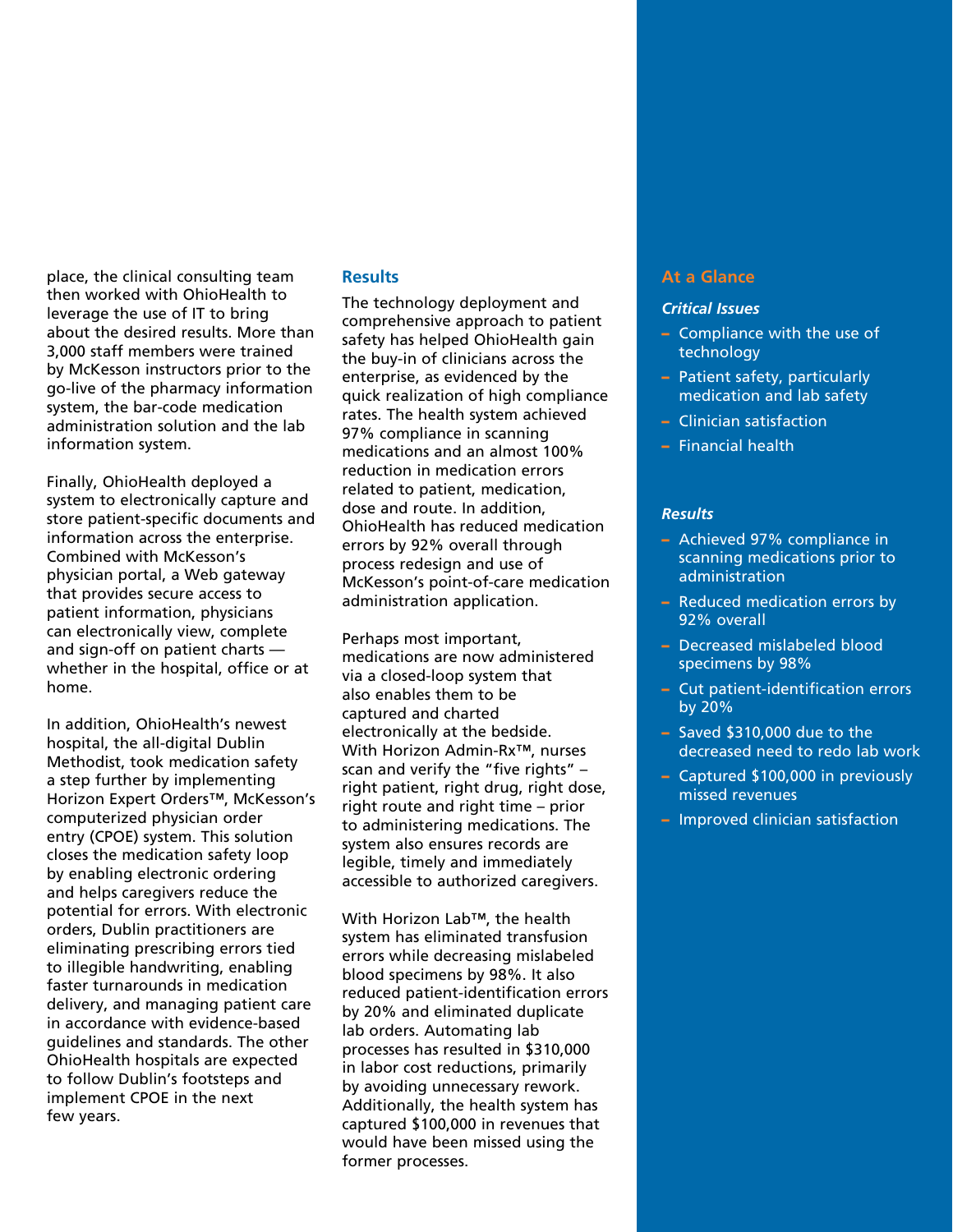place, the clinical consulting team then worked with OhioHealth to leverage the use of IT to bring about the desired results. More than 3,000 staff members were trained by McKesson instructors prior to the go-live of the pharmacy information system, the bar-code medication administration solution and the lab information system.

Finally, OhioHealth deployed a system to electronically capture and store patient-specific documents and information across the enterprise. Combined with McKesson's physician portal, a Web gateway that provides secure access to patient information, physicians can electronically view, complete and sign-off on patient charts whether in the hospital, office or at home.

In addition, OhioHealth's newest hospital, the all-digital Dublin Methodist, took medication safety a step further by implementing Horizon Expert Orders™, McKesson's computerized physician order entry (CPOE) system. This solution closes the medication safety loop by enabling electronic ordering and helps caregivers reduce the potential for errors. With electronic orders, Dublin practitioners are eliminating prescribing errors tied to illegible handwriting, enabling faster turnarounds in medication delivery, and managing patient care in accordance with evidence-based guidelines and standards. The other OhioHealth hospitals are expected to follow Dublin's footsteps and implement CPOE in the next few years.

## **Results**

The technology deployment and comprehensive approach to patient safety has helped OhioHealth gain the buy-in of clinicians across the enterprise, as evidenced by the quick realization of high compliance rates. The health system achieved 97% compliance in scanning medications and an almost 100% reduction in medication errors related to patient, medication, dose and route. In addition, OhioHealth has reduced medication errors by 92% overall through process redesign and use of McKesson's point-of-care medication administration application.

Perhaps most important, medications are now administered via a closed-loop system that also enables them to be captured and charted electronically at the bedside. With Horizon Admin-Rx™, nurses scan and verify the "five rights" – right patient, right drug, right dose, right route and right time – prior to administering medications. The system also ensures records are legible, timely and immediately accessible to authorized caregivers.

With Horizon Lab™, the health system has eliminated transfusion errors while decreasing mislabeled blood specimens by 98%. It also reduced patient-identification errors by 20% and eliminated duplicate lab orders. Automating lab processes has resulted in \$310,000 in labor cost reductions, primarily by avoiding unnecessary rework. Additionally, the health system has captured \$100,000 in revenues that would have been missed using the former processes.

## **At a Glance**

# *Critical Issues*

- Compliance with the use of technology
- Patient safety, particularly medication and lab safety
- Clinician satisfaction
- Financial health

#### *Results*

- Achieved 97% compliance in scanning medications prior to administration
- Reduced medication errors by 92% overall
- Decreased mislabeled blood specimens by 98%
- Cut patient-identification errors by 20%
- Saved \$310,000 due to the decreased need to redo lab work
- Captured \$100,000 in previously missed revenues
- Improved clinician satisfaction